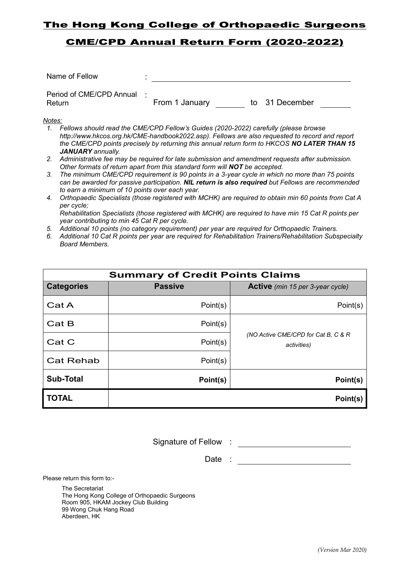## The Hong Kong College of Orthopaedic Surgeons

## CME/CPD Annual Return Form (2020-2022)

| Name of Fellow                       |                                                                                      |                                                                                                |
|--------------------------------------|--------------------------------------------------------------------------------------|------------------------------------------------------------------------------------------------|
| Period of CME/CPD Annual :<br>Return | From 1 January                                                                       | to 31 December                                                                                 |
| Notes:                               | Fellows should read the CME/CPD Fellow's Guides (2020-2022) carefully (please browse | http://www.hkcos.org.hk/CME-handbook2022.asp). Fellows are also requested to record and report |

- *the CME/CPD points precisely by returning this annual return form to HKCOS NO LATER THAN 15 JANUARY annually.*
- *2. Administrative fee may be required for late submission and amendment requests after submission. Other formats of return apart from this standard form will NOT be accepted.*
- *3. The minimum CME/CPD requirement is 90 points in a 3-year cycle in which no more than 75 points can be awarded for passive participation. NIL return is also required but Fellows are recommended to earn a minimum of 10 points over each year.*
- *4. Orthopaedic Specialists (those registered with MCHK) are required to obtain min 60 points from Cat A per cycle; Rehabilitation Specialists (those registered with MCHK) are required to have min 15 Cat R points per year contributing to min 45 Cat R per cycle.*
- *5. Additional 10 points (no category requirement) per year are required for Orthopaedic Trainers.*
- *6. Additional 10 Cat R points per year are required for Rehabilitation Trainers/Rehabilitation Subspecialty Board Members.*

| <b>Summary of Credit Points Claims</b> |                |                                                     |  |  |  |  |  |  |
|----------------------------------------|----------------|-----------------------------------------------------|--|--|--|--|--|--|
| <b>Categories</b>                      | <b>Passive</b> | <b>Active</b> (min 15 per 3-year cycle)             |  |  |  |  |  |  |
| Cat A                                  | Point(s)       | Point(s)                                            |  |  |  |  |  |  |
| Cat B                                  | Point(s)       |                                                     |  |  |  |  |  |  |
| Cat C                                  | Point(s)       | (NO Active CME/CPD for Cat B, C & R)<br>activities) |  |  |  |  |  |  |
| <b>Cat Rehab</b>                       | Point(s)       |                                                     |  |  |  |  |  |  |
| Sub-Total                              | Point(s)       | Point(s)                                            |  |  |  |  |  |  |
| <b>TOTAL</b>                           |                | Point(s)                                            |  |  |  |  |  |  |

Signature of Fellow :

Date :

Please return this form to:-

The Secretariat The Hong Kong College of Orthopaedic Surgeons Room 905, HKAM Jockey Club Building 99 Wong Chuk Hang Road Aberdeen, HK